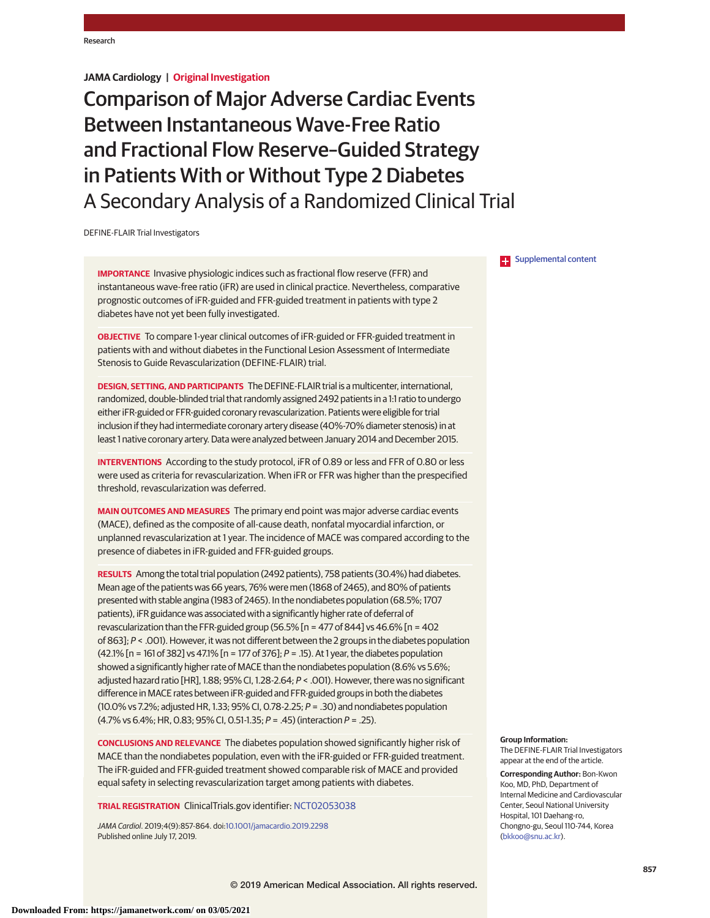# **JAMA Cardiology | Original Investigation**

Comparison of Major Adverse Cardiac Events Between Instantaneous Wave-Free Ratio and Fractional Flow Reserve–Guided Strategy in Patients With or Without Type 2 Diabetes A Secondary Analysis of a Randomized Clinical Trial

DEFINE-FLAIR Trial Investigators

**IMPORTANCE** Invasive physiologic indices such as fractional flow reserve (FFR) and instantaneous wave-free ratio (iFR) are used in clinical practice. Nevertheless, comparative prognostic outcomes of iFR-guided and FFR-guided treatment in patients with type 2 diabetes have not yet been fully investigated.

**OBJECTIVE** To compare 1-year clinical outcomes of iFR-guided or FFR-guided treatment in patients with and without diabetes in the Functional Lesion Assessment of Intermediate Stenosis to Guide Revascularization (DEFINE-FLAIR) trial.

**DESIGN, SETTING, AND PARTICIPANTS** The DEFINE-FLAIR trial is a multicenter, international, randomized, double-blinded trial that randomly assigned 2492 patients in a 1:1 ratio to undergo either iFR-guided or FFR-guided coronary revascularization. Patients were eligible for trial inclusion if they had intermediate coronary artery disease (40%-70% diameter stenosis) in at least 1 native coronary artery. Data were analyzed between January 2014 and December 2015.

**INTERVENTIONS** According to the study protocol, iFR of 0.89 or less and FFR of 0.80 or less were used as criteria for revascularization. When iFR or FFR was higher than the prespecified threshold, revascularization was deferred.

**MAIN OUTCOMES AND MEASURES** The primary end point was major adverse cardiac events (MACE), defined as the composite of all-cause death, nonfatal myocardial infarction, or unplanned revascularization at 1 year. The incidence of MACE was compared according to the presence of diabetes in iFR-guided and FFR-guided groups.

**RESULTS** Among the total trial population (2492 patients), 758 patients (30.4%) had diabetes. Mean age of the patients was 66 years, 76% were men (1868 of 2465), and 80% of patients presented with stable angina (1983 of 2465). In the nondiabetes population (68.5%; 1707 patients), iFR guidance was associated with a significantly higher rate of deferral of revascularization than the FFR-guided group (56.5%  $\ln$  = 477 of 844] vs 46.6%  $\ln$  = 402 of 863]; P < .001). However, it was not different between the 2 groups in the diabetes population (42.1%  $\left[ n = 161$  of 382] vs 47.1%  $\left[ n = 177$  of 376];  $P = .15$ ). At 1 year, the diabetes population showed a significantly higher rate of MACE than the nondiabetes population (8.6% vs 5.6%; adjusted hazard ratio [HR], 1.88; 95% CI, 1.28-2.64; P < .001). However, there was no significant difference in MACE rates between iFR-guided and FFR-guided groups in both the diabetes (10.0% vs 7.2%; adjusted HR, 1.33; 95% CI, 0.78-2.25; P = .30) and nondiabetes population (4.7% vs 6.4%; HR, 0.83; 95% CI, 0.51-1.35; P = .45) (interaction P = .25).

**CONCLUSIONS AND RELEVANCE** The diabetes population showed significantly higher risk of MACE than the nondiabetes population, even with the iFR-guided or FFR-guided treatment. The iFR-guided and FFR-guided treatment showed comparable risk of MACE and provided equal safety in selecting revascularization target among patients with diabetes.

**TRIAL REGISTRATION** ClinicalTrials.gov identifier: [NCT02053038](https://clinicaltrials.gov/ct2/show/NCT02053038)

JAMA Cardiol. 2019;4(9):857-864. doi[:10.1001/jamacardio.2019.2298](https://jama.jamanetwork.com/article.aspx?doi=10.1001/jamacardio.2019.2298&utm_campaign=articlePDF%26utm_medium=articlePDFlink%26utm_source=articlePDF%26utm_content=jamacardio.2019.2298) Published online July 17, 2019.

**Examplemental content** 

#### **Group Information:**

The DEFINE-FLAIR Trial Investigators appear at the end of the article.

**Corresponding Author:** Bon-Kwon Koo, MD, PhD, Department of Internal Medicine and Cardiovascular Center, Seoul National University Hospital, 101 Daehang-ro, Chongno-gu, Seoul 110-744, Korea [\(bkkoo@snu.ac.kr\)](mailto:bkkoo@snu.ac.kr).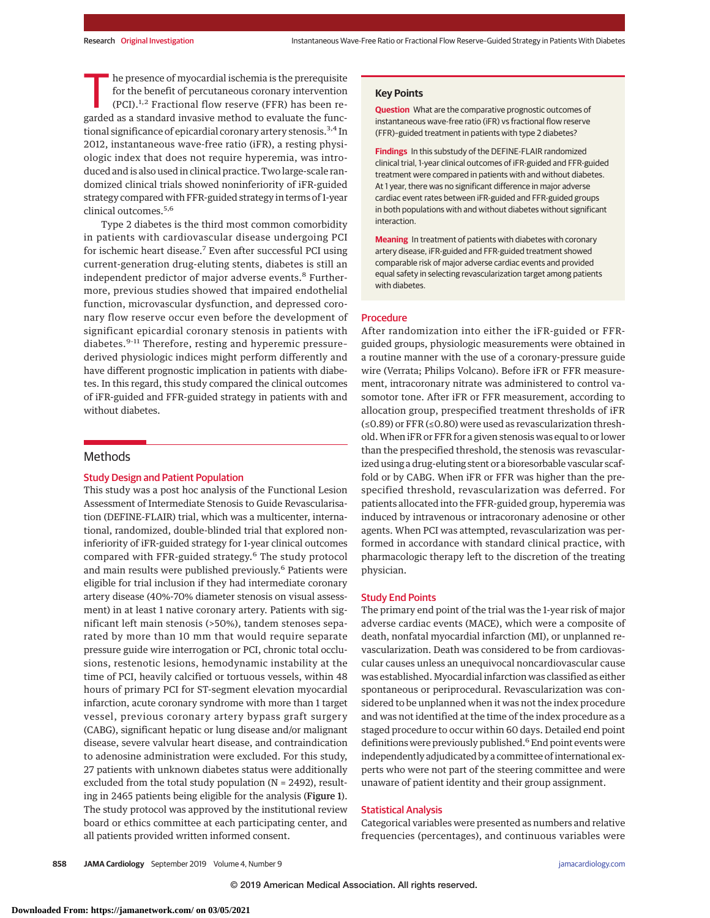The presence of myocardial ischemia is the prerequisite<br>for the benefit of percutaneous coronary intervention<br>(PCI).<sup>1,2</sup> Fractional flow reserve (FFR) has been re-<br>garded as a standard invasive method to evaluate the func for the benefit of percutaneous coronary intervention garded as a standard invasive method to evaluate the functional significance of epicardial coronary artery stenosis.<sup>3,4</sup> In 2012, instantaneous wave-free ratio (iFR), a resting physiologic index that does not require hyperemia, was introduced and is also used in clinical practice. Two large-scale randomized clinical trials showed noninferiority of iFR-guided strategy compared with FFR-guided strategy in terms of 1-year clinical outcomes.<sup>5,6</sup>

Type 2 diabetes is the third most common comorbidity in patients with cardiovascular disease undergoing PCI for ischemic heart disease.<sup>7</sup> Even after successful PCI using current-generation drug-eluting stents, diabetes is still an independent predictor of major adverse events.<sup>8</sup> Furthermore, previous studies showed that impaired endothelial function, microvascular dysfunction, and depressed coronary flow reserve occur even before the development of significant epicardial coronary stenosis in patients with diabetes.<sup>9-11</sup> Therefore, resting and hyperemic pressurederived physiologic indices might perform differently and have different prognostic implication in patients with diabetes. In this regard, this study compared the clinical outcomes of iFR-guided and FFR-guided strategy in patients with and without diabetes.

### Methods

## Study Design and Patient Population

This study was a post hoc analysis of the Functional Lesion Assessment of Intermediate Stenosis to Guide Revascularisation (DEFINE-FLAIR) trial, which was a multicenter, international, randomized, double-blinded trial that explored noninferiority of iFR-guided strategy for 1-year clinical outcomes compared with FFR-guided strategy.<sup>6</sup> The study protocol and main results were published previously.<sup>6</sup> Patients were eligible for trial inclusion if they had intermediate coronary artery disease (40%-70% diameter stenosis on visual assessment) in at least 1 native coronary artery. Patients with significant left main stenosis (>50%), tandem stenoses separated by more than 10 mm that would require separate pressure guide wire interrogation or PCI, chronic total occlusions, restenotic lesions, hemodynamic instability at the time of PCI, heavily calcified or tortuous vessels, within 48 hours of primary PCI for ST-segment elevation myocardial infarction, acute coronary syndrome with more than 1 target vessel, previous coronary artery bypass graft surgery (CABG), significant hepatic or lung disease and/or malignant disease, severe valvular heart disease, and contraindication to adenosine administration were excluded. For this study, 27 patients with unknown diabetes status were additionally excluded from the total study population (N = 2492), resulting in 2465 patients being eligible for the analysis (Figure 1). The study protocol was approved by the institutional review board or ethics committee at each participating center, and all patients provided written informed consent.

### **Key Points**

**Question** What are the comparative prognostic outcomes of instantaneous wave-free ratio (iFR) vs fractional flow reserve (FFR)–guided treatment in patients with type 2 diabetes?

**Findings** In this substudy of the DEFINE-FLAIR randomized clinical trial, 1-year clinical outcomes of iFR-guided and FFR-guided treatment were compared in patients with and without diabetes. At 1 year, there was no significant difference in major adverse cardiac event rates between iFR-guided and FFR-guided groups in both populations with and without diabetes without significant interaction.

**Meaning** In treatment of patients with diabetes with coronary artery disease, iFR-guided and FFR-guided treatment showed comparable risk of major adverse cardiac events and provided equal safety in selecting revascularization target among patients with diabetes.

### Procedure

After randomization into either the iFR-guided or FFRguided groups, physiologic measurements were obtained in a routine manner with the use of a coronary-pressure guide wire (Verrata; Philips Volcano). Before iFR or FFR measurement, intracoronary nitrate was administered to control vasomotor tone. After iFR or FFR measurement, according to allocation group, prespecified treatment thresholds of iFR (≤0.89) or FFR (≤0.80) were used as revascularization threshold.When iFR or FFR for a given stenosis was equal to or lower than the prespecified threshold, the stenosis was revascularized using a drug-eluting stent or a bioresorbable vascular scaffold or by CABG. When iFR or FFR was higher than the prespecified threshold, revascularization was deferred. For patients allocated into the FFR-guided group, hyperemia was induced by intravenous or intracoronary adenosine or other agents. When PCI was attempted, revascularization was performed in accordance with standard clinical practice, with pharmacologic therapy left to the discretion of the treating physician.

#### Study End Points

The primary end point of the trial was the 1-year risk of major adverse cardiac events (MACE), which were a composite of death, nonfatal myocardial infarction (MI), or unplanned revascularization. Death was considered to be from cardiovascular causes unless an unequivocal noncardiovascular cause was established. Myocardial infarction was classified as either spontaneous or periprocedural. Revascularization was considered to be unplanned when it was not the index procedure and was not identified at the time of the index procedure as a staged procedure to occur within 60 days. Detailed end point definitions were previously published.<sup>6</sup> End point events were independently adjudicated by a committee of international experts who were not part of the steering committee and were unaware of patient identity and their group assignment.

### Statistical Analysis

Categorical variables were presented as numbers and relative frequencies (percentages), and continuous variables were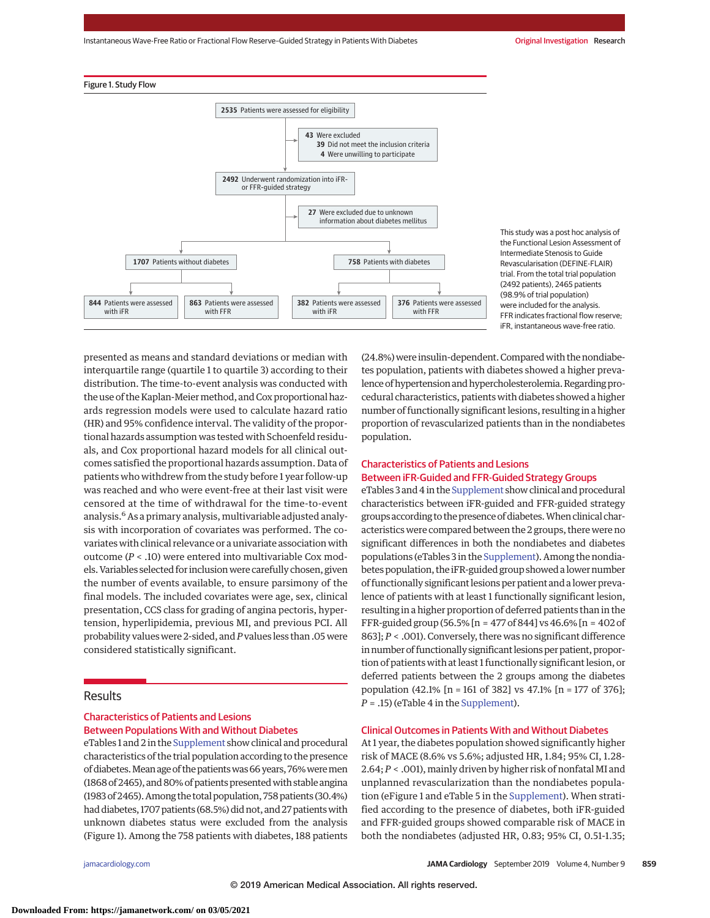Instantaneous Wave-Free Ratio or Fractional Flow Reserve-Guided Strategy in Patients With Diabetes **Original Investigation Research** 





This study was a post hoc analysis of the Functional Lesion Assessment of Intermediate Stenosis to Guide Revascularisation (DEFINE-FLAIR) trial. From the total trial population (2492 patients), 2465 patients (98.9% of trial population) were included for the analysis. FFR indicates fractional flow reserve; iFR, instantaneous wave-free ratio.

presented as means and standard deviations or median with interquartile range (quartile 1 to quartile 3) according to their distribution. The time-to-event analysis was conducted with the use of the Kaplan-Meier method, and Cox proportional hazards regression models were used to calculate hazard ratio (HR) and 95% confidence interval. The validity of the proportional hazards assumption was tested with Schoenfeld residuals, and Cox proportional hazard models for all clinical outcomes satisfied the proportional hazards assumption. Data of patients who withdrew from the study before 1 year follow-up was reached and who were event-free at their last visit were censored at the time of withdrawal for the time-to-event analysis.6 As a primary analysis, multivariable adjusted analysis with incorporation of covariates was performed. The covariates with clinical relevance or a univariate association with outcome (*P* < .10) were entered into multivariable Cox models.Variables selected for inclusionwere carefully chosen, given the number of events available, to ensure parsimony of the final models. The included covariates were age, sex, clinical presentation, CCS class for grading of angina pectoris, hypertension, hyperlipidemia, previous MI, and previous PCI. All probability values were 2-sided, and*P*values less than .05 were considered statistically significant.

## Results

## Characteristics of Patients and Lesions Between Populations With and Without Diabetes

eTables 1 and 2 in the [Supplement](https://jama.jamanetwork.com/article.aspx?doi=10.1001/jamacardio.2019.2298&utm_campaign=articlePDF%26utm_medium=articlePDFlink%26utm_source=articlePDF%26utm_content=jamacardio.2019.2298) show clinical and procedural characteristics of the trial population according to the presence of diabetes. Mean age of the patients was 66 years, 76% were men (1868 of 2465), and 80% of patients presented with stable angina (1983 of 2465). Among the total population, 758 patients (30.4%) had diabetes, 1707 patients (68.5%) did not, and 27 patients with unknown diabetes status were excluded from the analysis (Figure 1). Among the 758 patients with diabetes, 188 patients

(24.8%) were insulin-dependent. Compared with the nondiabetes population, patients with diabetes showed a higher prevalence of hypertension and hypercholesterolemia. Regarding procedural characteristics, patients with diabetes showed a higher number of functionally significant lesions, resulting in a higher proportion of revascularized patients than in the nondiabetes population.

### Characteristics of Patients and Lesions Between iFR-Guided and FFR-Guided Strategy Groups

eTables 3 and 4 in the [Supplement](https://jama.jamanetwork.com/article.aspx?doi=10.1001/jamacardio.2019.2298&utm_campaign=articlePDF%26utm_medium=articlePDFlink%26utm_source=articlePDF%26utm_content=jamacardio.2019.2298) show clinical and procedural characteristics between iFR-guided and FFR-guided strategy groups according to the presence of diabetes. When clinical characteristics were compared between the 2 groups, there were no significant differences in both the nondiabetes and diabetes populations (eTables 3 in the [Supplement\)](https://jama.jamanetwork.com/article.aspx?doi=10.1001/jamacardio.2019.2298&utm_campaign=articlePDF%26utm_medium=articlePDFlink%26utm_source=articlePDF%26utm_content=jamacardio.2019.2298). Among the nondiabetes population, the iFR-guided group showed a lower number of functionally significant lesions per patient and a lower prevalence of patients with at least 1 functionally significant lesion, resulting in a higher proportion of deferred patients than in the FFR-guided group (56.5% [n = 477 of 844] vs 46.6% [n = 402 of 863]; *P* < .001). Conversely, there was no significant difference in number of functionally significant lesions per patient, proportion of patients with at least 1 functionally significant lesion, or deferred patients between the 2 groups among the diabetes population (42.1% [n = 161 of 382] vs 47.1% [n = 177 of 376];  $P = .15$ ) (eTable 4 in the [Supplement\)](https://jama.jamanetwork.com/article.aspx?doi=10.1001/jamacardio.2019.2298&utm_campaign=articlePDF%26utm_medium=articlePDFlink%26utm_source=articlePDF%26utm_content=jamacardio.2019.2298).

### Clinical Outcomes in Patients With and Without Diabetes

At 1 year, the diabetes population showed significantly higher risk of MACE (8.6% vs 5.6%; adjusted HR, 1.84; 95% CI, 1.28- 2.64; *P* < .001),mainly driven by higher risk of nonfatal MI and unplanned revascularization than the nondiabetes population (eFigure 1 and eTable 5 in the [Supplement\)](https://jama.jamanetwork.com/article.aspx?doi=10.1001/jamacardio.2019.2298&utm_campaign=articlePDF%26utm_medium=articlePDFlink%26utm_source=articlePDF%26utm_content=jamacardio.2019.2298). When stratified according to the presence of diabetes, both iFR-guided and FFR-guided groups showed comparable risk of MACE in both the nondiabetes (adjusted HR, 0.83; 95% CI, 0.51-1.35;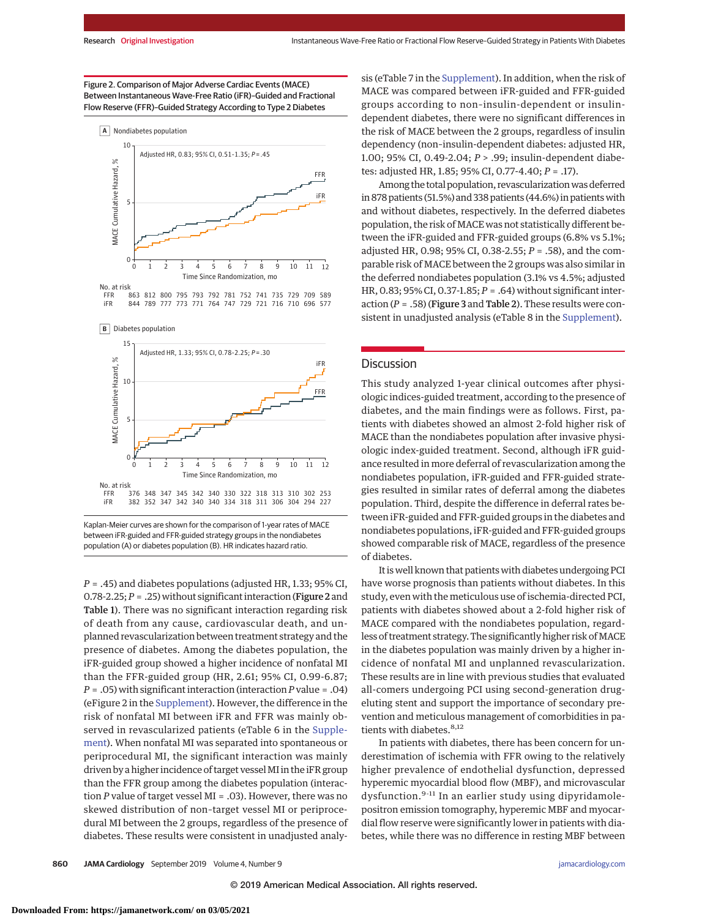### Figure 2. Comparison of Major Adverse Cardiac Events (MACE) Between Instantaneous Wave-Free Ratio (iFR)–Guided and Fractional Flow Reserve (FFR)–Guided Strategy According to Type 2 Diabetes



863 812 800 795 793 792 781 752 741 735 729 709 589 844 789 777 773 771 764 747 729 721 716 710 696 577 FFR iFR

**B** Diabetes population



Kaplan-Meier curves are shown for the comparison of 1-year rates of MACE between iFR-guided and FFR-guided strategy groups in the nondiabetes population (A) or diabetes population (B). HR indicates hazard ratio.

*P* = .45) and diabetes populations (adjusted HR, 1.33; 95% CI, 0.78-2.25;*P* = .25) without significant interaction (Figure 2 and Table 1). There was no significant interaction regarding risk of death from any cause, cardiovascular death, and unplanned revascularization between treatment strategy and the presence of diabetes. Among the diabetes population, the iFR-guided group showed a higher incidence of nonfatal MI than the FFR-guided group (HR, 2.61; 95% CI, 0.99-6.87; *P* = .05) with significant interaction (interaction *P* value = .04) (eFigure 2 in the [Supplement\)](https://jama.jamanetwork.com/article.aspx?doi=10.1001/jamacardio.2019.2298&utm_campaign=articlePDF%26utm_medium=articlePDFlink%26utm_source=articlePDF%26utm_content=jamacardio.2019.2298). However, the difference in the risk of nonfatal MI between iFR and FFR was mainly observed in revascularized patients (eTable 6 in the [Supple](https://jama.jamanetwork.com/article.aspx?doi=10.1001/jamacardio.2019.2298&utm_campaign=articlePDF%26utm_medium=articlePDFlink%26utm_source=articlePDF%26utm_content=jamacardio.2019.2298)[ment\)](https://jama.jamanetwork.com/article.aspx?doi=10.1001/jamacardio.2019.2298&utm_campaign=articlePDF%26utm_medium=articlePDFlink%26utm_source=articlePDF%26utm_content=jamacardio.2019.2298). When nonfatal MI was separated into spontaneous or periprocedural MI, the significant interaction was mainly driven by a higher incidence of target vessel MI in the iFR group than the FFR group among the diabetes population (interaction *P* value of target vessel MI = .03). However, there was no skewed distribution of non–target vessel MI or periprocedural MI between the 2 groups, regardless of the presence of diabetes. These results were consistent in unadjusted analysis (eTable 7 in the [Supplement\)](https://jama.jamanetwork.com/article.aspx?doi=10.1001/jamacardio.2019.2298&utm_campaign=articlePDF%26utm_medium=articlePDFlink%26utm_source=articlePDF%26utm_content=jamacardio.2019.2298). In addition, when the risk of MACE was compared between iFR-guided and FFR-guided groups according to non–insulin-dependent or insulindependent diabetes, there were no significant differences in the risk of MACE between the 2 groups, regardless of insulin dependency (non–insulin-dependent diabetes: adjusted HR, 1.00; 95% CI, 0.49-2.04; *P* > .99; insulin-dependent diabetes: adjusted HR, 1.85; 95% CI, 0.77-4.40; *P* = .17).

Among the total population, revascularization was deferred in 878 patients (51.5%) and 338 patients (44.6%) in patients with and without diabetes, respectively. In the deferred diabetes population, the risk of MACE was not statistically different between the iFR-guided and FFR-guided groups (6.8% vs 5.1%; adjusted HR, 0.98; 95% CI, 0.38-2.55; *P* = .58), and the comparable risk of MACE between the 2 groups was also similar in the deferred nondiabetes population (3.1% vs 4.5%; adjusted HR, 0.83; 95% CI, 0.37-1.85; *P* = .64) without significant interaction (*P* = .58) (Figure 3 and Table 2). These results were consistent in unadjusted analysis (eTable 8 in the [Supplement\)](https://jama.jamanetwork.com/article.aspx?doi=10.1001/jamacardio.2019.2298&utm_campaign=articlePDF%26utm_medium=articlePDFlink%26utm_source=articlePDF%26utm_content=jamacardio.2019.2298).

### **Discussion**

This study analyzed 1-year clinical outcomes after physiologic indices-guided treatment, according to the presence of diabetes, and the main findings were as follows. First, patients with diabetes showed an almost 2-fold higher risk of MACE than the nondiabetes population after invasive physiologic index-guided treatment. Second, although iFR guidance resulted in more deferral of revascularization among the nondiabetes population, iFR-guided and FFR-guided strategies resulted in similar rates of deferral among the diabetes population. Third, despite the difference in deferral rates between iFR-guided and FFR-guided groups in the diabetes and nondiabetes populations, iFR-guided and FFR-guided groups showed comparable risk of MACE, regardless of the presence of diabetes.

It is well known that patients with diabetes undergoing PCI have worse prognosis than patients without diabetes. In this study, even with the meticulous use of ischemia-directed PCI, patients with diabetes showed about a 2-fold higher risk of MACE compared with the nondiabetes population, regardless of treatment strategy. The significantly higher risk of MACE in the diabetes population was mainly driven by a higher incidence of nonfatal MI and unplanned revascularization. These results are in line with previous studies that evaluated all-comers undergoing PCI using second-generation drugeluting stent and support the importance of secondary prevention and meticulous management of comorbidities in patients with diabetes.<sup>8,12</sup>

In patients with diabetes, there has been concern for underestimation of ischemia with FFR owing to the relatively higher prevalence of endothelial dysfunction, depressed hyperemic myocardial blood flow (MBF), and microvascular dysfunction.<sup>9-11</sup> In an earlier study using dipyridamolepositron emission tomography, hyperemic MBF and myocardial flow reserve were significantly lower in patients with diabetes, while there was no difference in resting MBF between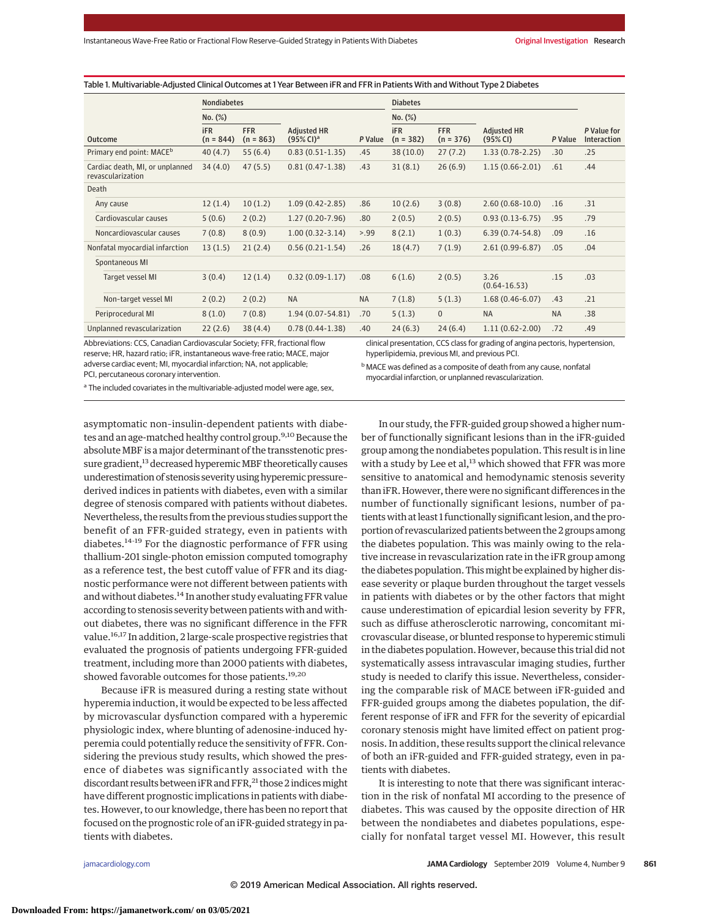|                                                      | <b>Nondiabetes</b>        |                           |                                             |           | <b>Diabetes</b>           |                           |                                |           |                            |
|------------------------------------------------------|---------------------------|---------------------------|---------------------------------------------|-----------|---------------------------|---------------------------|--------------------------------|-----------|----------------------------|
|                                                      | $No.$ $(\%)$              |                           |                                             |           | $No.$ $(\%)$              |                           |                                |           |                            |
| <b>Outcome</b>                                       | <b>iFR</b><br>$(n = 844)$ | <b>FFR</b><br>$(n = 863)$ | <b>Adjusted HR</b><br>(95% Cl) <sup>a</sup> | P Value   | <b>iFR</b><br>$(n = 382)$ | <b>FFR</b><br>$(n = 376)$ | <b>Adjusted HR</b><br>(95% CI) | P Value   | P Value for<br>Interaction |
| Primary end point: MACE <sup>b</sup>                 | 40(4.7)                   | 55(6.4)                   | $0.83(0.51-1.35)$                           | .45       | 38 (10.0)                 | 27(7.2)                   | $1.33(0.78-2.25)$              | .30       | .25                        |
| Cardiac death, MI, or unplanned<br>revascularization | 34(4.0)                   | 47(5.5)                   | $0.81(0.47-1.38)$                           | .43       | 31(8.1)                   | 26(6.9)                   | $1.15(0.66 - 2.01)$            | .61       | .44                        |
| Death                                                |                           |                           |                                             |           |                           |                           |                                |           |                            |
| Any cause                                            | 12(1.4)                   | 10(1.2)                   | $1.09(0.42 - 2.85)$                         | .86       | 10(2.6)                   | 3(0.8)                    | $2.60(0.68-10.0)$              | .16       | .31                        |
| Cardiovascular causes                                | 5(0.6)                    | 2(0.2)                    | $1.27(0.20-7.96)$                           | .80       | 2(0.5)                    | 2(0.5)                    | $0.93(0.13-6.75)$              | .95       | .79                        |
| Noncardiovascular causes                             | 7(0.8)                    | 8(0.9)                    | $1.00(0.32-3.14)$                           | > .99     | 8(2.1)                    | 1(0.3)                    | $6.39(0.74-54.8)$              | .09       | .16                        |
| Nonfatal myocardial infarction                       | 13(1.5)                   | 21(2.4)                   | $0.56(0.21-1.54)$                           | .26       | 18(4.7)                   | 7(1.9)                    | $2.61(0.99-6.87)$              | .05       | .04                        |
| Spontaneous MI                                       |                           |                           |                                             |           |                           |                           |                                |           |                            |
| Target vessel MI                                     | 3(0.4)                    | 12(1.4)                   | $0.32(0.09-1.17)$                           | .08       | 6(1.6)                    | 2(0.5)                    | 3.26<br>$(0.64 - 16.53)$       | .15       | .03                        |
| Non-target vessel MI                                 | 2(0.2)                    | 2(0.2)                    | <b>NA</b>                                   | <b>NA</b> | 7(1.8)                    | 5(1.3)                    | $1.68(0.46-6.07)$              | .43       | .21                        |
| Periprocedural MI                                    | 8(1.0)                    | 7(0.8)                    | $1.94(0.07 - 54.81)$                        | .70       | 5(1.3)                    | $\mathbf{0}$              | <b>NA</b>                      | <b>NA</b> | .38                        |
| Unplanned revascularization                          | 22(2.6)                   | 38(4.4)                   | $0.78(0.44-1.38)$                           | .40       | 24(6.3)                   | 24(6.4)                   | $1.11(0.62 - 2.00)$            | .72       | .49                        |

Table 1. Multivariable-Adjusted Clinical Outcomes at 1 Year Between iFR and FFR in Patients With and Without Type 2 Diabetes

Abbreviations: CCS, Canadian Cardiovascular Society; FFR, fractional flow reserve; HR, hazard ratio; iFR, instantaneous wave-free ratio; MACE, major adverse cardiac event; MI, myocardial infarction; NA, not applicable; PCI, percutaneous coronary intervention.

clinical presentation, CCS class for grading of angina pectoris, hypertension, hyperlipidemia, previous MI, and previous PCI.

bMACE was defined as a composite of death from any cause, nonfatal myocardial infarction, or unplanned revascularization.

<sup>a</sup> The included covariates in the multivariable-adjusted model were age, sex,

asymptomatic non–insulin-dependent patients with diabetes and an age-matched healthy control group.<sup>9,10</sup> Because the absolute MBF is a major determinant of the transstenotic pressure gradient,<sup>13</sup> decreased hyperemic MBF theoretically causes underestimation of stenosis severity using hyperemic pressure– derived indices in patients with diabetes, even with a similar degree of stenosis compared with patients without diabetes. Nevertheless, the results from the previous studies support the benefit of an FFR-guided strategy, even in patients with diabetes.14-19 For the diagnostic performance of FFR using thallium-201 single-photon emission computed tomography as a reference test, the best cutoff value of FFR and its diagnostic performance were not different between patients with and without diabetes.<sup>14</sup> In another study evaluating FFR value according to stenosis severity between patients with and without diabetes, there was no significant difference in the FFR value.16,17 In addition, 2 large-scale prospective registries that evaluated the prognosis of patients undergoing FFR-guided treatment, including more than 2000 patients with diabetes, showed favorable outcomes for those patients.<sup>19,20</sup>

Because iFR is measured during a resting state without hyperemia induction, it would be expected to be less affected by microvascular dysfunction compared with a hyperemic physiologic index, where blunting of adenosine-induced hyperemia could potentially reduce the sensitivity of FFR. Considering the previous study results, which showed the presence of diabetes was significantly associated with the discordant results between iFR and FFR,<sup>21</sup> those 2 indices might have different prognostic implications in patients with diabetes. However, to our knowledge, there has been no report that focused on the prognostic role of an iFR-guided strategy in patients with diabetes.

In our study, the FFR-guided group showed a higher number of functionally significant lesions than in the iFR-guided group among the nondiabetes population. This result is in line with a study by Lee et al, $^{13}$  which showed that FFR was more sensitive to anatomical and hemodynamic stenosis severity than iFR. However, there were no significant differences in the number of functionally significant lesions, number of patients with at least 1 functionally significant lesion, and the proportion of revascularized patients between the 2 groups among the diabetes population. This was mainly owing to the relative increase in revascularization rate in the iFR group among the diabetes population. This might be explained by higher disease severity or plaque burden throughout the target vessels in patients with diabetes or by the other factors that might cause underestimation of epicardial lesion severity by FFR, such as diffuse atherosclerotic narrowing, concomitant microvascular disease, or blunted response to hyperemic stimuli in the diabetes population. However, because this trial did not systematically assess intravascular imaging studies, further study is needed to clarify this issue. Nevertheless, considering the comparable risk of MACE between iFR-guided and FFR-guided groups among the diabetes population, the different response of iFR and FFR for the severity of epicardial coronary stenosis might have limited effect on patient prognosis. In addition, these results support the clinical relevance of both an iFR-guided and FFR-guided strategy, even in patients with diabetes.

It is interesting to note that there was significant interaction in the risk of nonfatal MI according to the presence of diabetes. This was caused by the opposite direction of HR between the nondiabetes and diabetes populations, especially for nonfatal target vessel MI. However, this result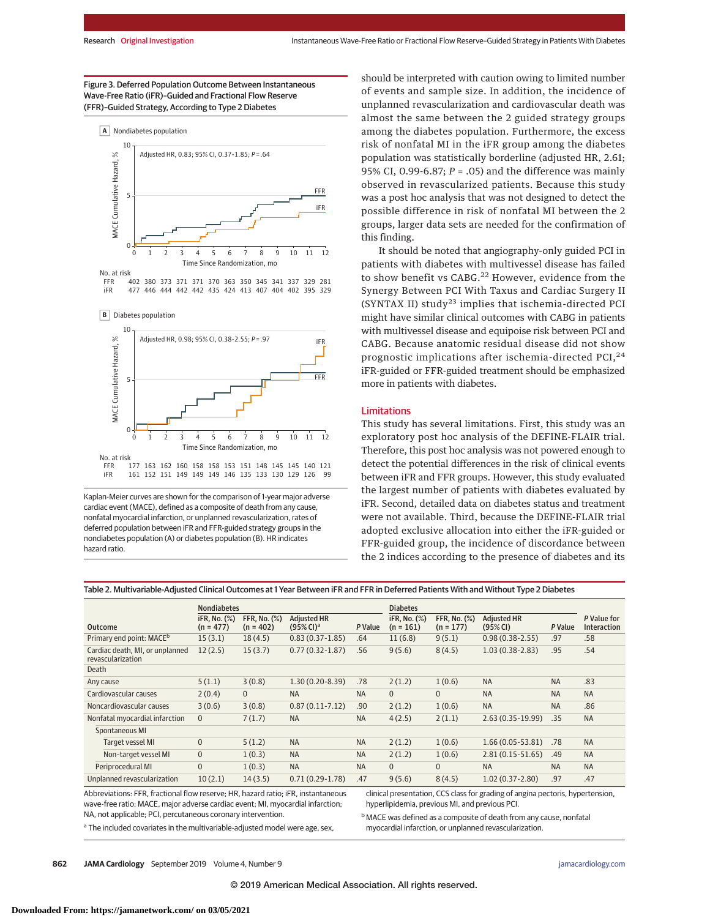### Figure 3. Deferred Population Outcome Between Instantaneous Wave-Free Ratio (iFR)–Guided and Fractional Flow Reserve (FFR)–Guided Strategy, According to Type 2 Diabetes



402 380 373 371 371 370 363 350 345 341 337 329 281 477 446 444 442 442 435 424 413 407 404 402 395 329 FFR iFR

**B** Diabetes population



Kaplan-Meier curves are shown for the comparison of 1-year major adverse cardiac event (MACE), defined as a composite of death from any cause, nonfatal myocardial infarction, or unplanned revascularization, rates of deferred population between iFR and FFR-guided strategy groups in the nondiabetes population (A) or diabetes population (B). HR indicates hazard ratio.

should be interpreted with caution owing to limited number of events and sample size. In addition, the incidence of unplanned revascularization and cardiovascular death was almost the same between the 2 guided strategy groups among the diabetes population. Furthermore, the excess risk of nonfatal MI in the iFR group among the diabetes population was statistically borderline (adjusted HR, 2.61; 95% CI, 0.99-6.87; *P* = .05) and the difference was mainly observed in revascularized patients. Because this study was a post hoc analysis that was not designed to detect the possible difference in risk of nonfatal MI between the 2 groups, larger data sets are needed for the confirmation of this finding.

It should be noted that angiography-only guided PCI in patients with diabetes with multivessel disease has failed to show benefit vs CABG.<sup>22</sup> However, evidence from the Synergy Between PCI With Taxus and Cardiac Surgery II (SYNTAX II) study<sup>23</sup> implies that ischemia-directed PCI might have similar clinical outcomes with CABG in patients with multivessel disease and equipoise risk between PCI and CABG. Because anatomic residual disease did not show prognostic implications after ischemia-directed PCI, $^{24}$ iFR-guided or FFR-guided treatment should be emphasized more in patients with diabetes.

#### Limitations

This study has several limitations. First, this study was an exploratory post hoc analysis of the DEFINE-FLAIR trial. Therefore, this post hoc analysis was not powered enough to detect the potential differences in the risk of clinical events between iFR and FFR groups. However, this study evaluated the largest number of patients with diabetes evaluated by iFR. Second, detailed data on diabetes status and treatment were not available. Third, because the DEFINE-FLAIR trial adopted exclusive allocation into either the iFR-guided or FFR-guided group, the incidence of discordance between the 2 indices according to the presence of diabetes and its

|                                                      | <b>Nondiabetes</b>          |                                    |                                        |           | <b>Diabetes</b>             |                                    |                                |           |                            |  |
|------------------------------------------------------|-----------------------------|------------------------------------|----------------------------------------|-----------|-----------------------------|------------------------------------|--------------------------------|-----------|----------------------------|--|
| <b>Outcome</b>                                       | iFR, No. (%)<br>$(n = 477)$ | <b>FFR. No. (%)</b><br>$(n = 402)$ | Adiusted HR<br>$(95%$ CI) <sup>a</sup> | P Value   | iFR, No. (%)<br>$(n = 161)$ | <b>FFR. No. (%)</b><br>$(n = 177)$ | <b>Adjusted HR</b><br>(95% CI) | P Value   | P Value for<br>Interaction |  |
| Primary end point: MACE <sup>b</sup>                 | 15(3.1)                     | 18(4.5)                            | $0.83(0.37-1.85)$                      | .64       | 11(6.8)                     | 9(5.1)                             | $0.98(0.38 - 2.55)$            | .97       | .58                        |  |
| Cardiac death, MI, or unplanned<br>revascularization | 12(2.5)                     | 15(3.7)                            | $0.77(0.32 - 1.87)$                    | .56       | 9(5.6)                      | 8(4.5)                             | $1.03(0.38-2.83)$              | .95       | .54                        |  |
| Death                                                |                             |                                    |                                        |           |                             |                                    |                                |           |                            |  |
| Any cause                                            | 5(1.1)                      | 3(0.8)                             | $1.30(0.20-8.39)$                      | .78       | 2(1.2)                      | 1(0.6)                             | <b>NA</b>                      | <b>NA</b> | .83                        |  |
| Cardiovascular causes                                | 2(0.4)                      | $\mathbf{0}$                       | <b>NA</b>                              | <b>NA</b> | $\Omega$                    | $\Omega$                           | <b>NA</b>                      | <b>NA</b> | <b>NA</b>                  |  |
| Noncardiovascular causes                             | 3(0.6)                      | 3(0.8)                             | $0.87(0.11 - 7.12)$                    | .90       | 2(1.2)                      | 1(0.6)                             | <b>NA</b>                      | <b>NA</b> | .86                        |  |
| Nonfatal myocardial infarction                       | $\mathbf{0}$                | 7(1.7)                             | <b>NA</b>                              | <b>NA</b> | 4(2.5)                      | 2(1.1)                             | $2.63(0.35-19.99)$             | .35       | <b>NA</b>                  |  |
| Spontaneous MI                                       |                             |                                    |                                        |           |                             |                                    |                                |           |                            |  |
| Target vessel MI                                     | $\mathbf{0}$                | 5(1.2)                             | <b>NA</b>                              | <b>NA</b> | 2(1.2)                      | 1(0.6)                             | 1.66 (0.05-53.81)              | .78       | <b>NA</b>                  |  |
| Non-target vessel MI                                 | $\mathbf{0}$                | 1(0.3)                             | <b>NA</b>                              | <b>NA</b> | 2(1.2)                      | 1(0.6)                             | $2.81(0.15-51.65)$             | .49       | <b>NA</b>                  |  |
| Periprocedural MI                                    | 0                           | 1(0.3)                             | <b>NA</b>                              | <b>NA</b> | $\Omega$                    | $\Omega$                           | <b>NA</b>                      | <b>NA</b> | <b>NA</b>                  |  |
| Unplanned revascularization                          | 10(2.1)                     | 14(3.5)                            | $0.71(0.29-1.78)$                      | .47       | 9(5.6)                      | 8(4.5)                             | $1.02(0.37 - 2.80)$            | .97       | .47                        |  |

Table 2. Multivariable-Adjusted Clinical Outcomes at 1 Year Between iFR and FFR in Deferred Patients With and Without Type 2 Diabetes

Abbreviations: FFR, fractional flow reserve; HR, hazard ratio; iFR, instantaneous wave-free ratio; MACE, major adverse cardiac event; MI, myocardial infarction; NA, not applicable; PCI, percutaneous coronary intervention.

<sup>a</sup> The included covariates in the multivariable-adjusted model were age, sex,

clinical presentation, CCS class for grading of angina pectoris, hypertension, hyperlipidemia, previous MI, and previous PCI.

bMACE was defined as a composite of death from any cause, nonfatal myocardial infarction, or unplanned revascularization.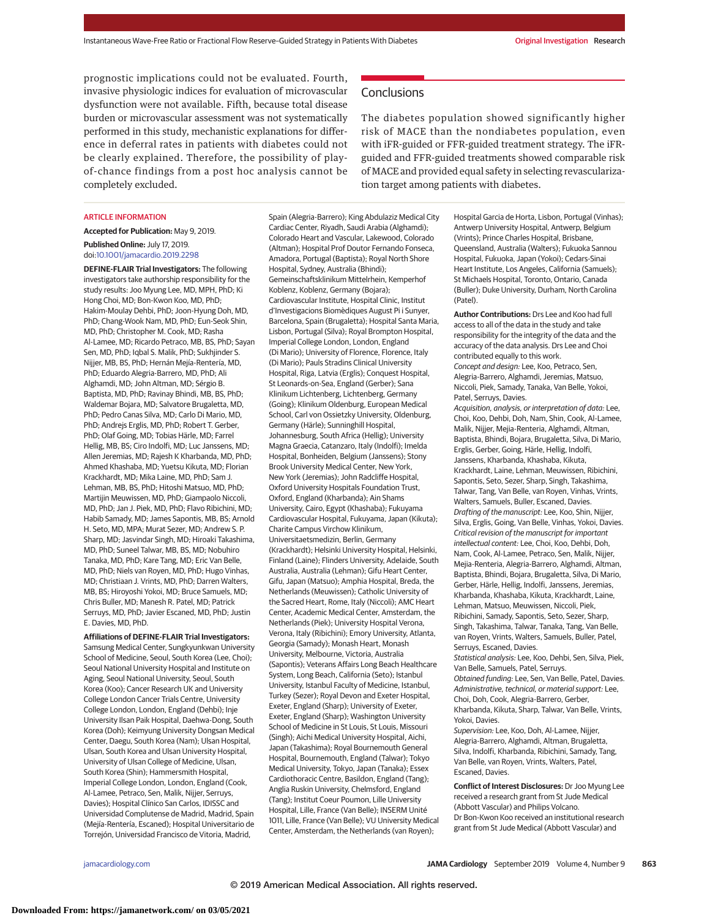prognostic implications could not be evaluated. Fourth, invasive physiologic indices for evaluation of microvascular dysfunction were not available. Fifth, because total disease burden or microvascular assessment was not systematically performed in this study, mechanistic explanations for difference in deferral rates in patients with diabetes could not be clearly explained. Therefore, the possibility of playof-chance findings from a post hoc analysis cannot be completely excluded.

#### ARTICLE INFORMATION

**Accepted for Publication:** May 9, 2019. **Published Online:** July 17, 2019. doi[:10.1001/jamacardio.2019.2298](https://jama.jamanetwork.com/article.aspx?doi=10.1001/jamacardio.2019.2298&utm_campaign=articlePDF%26utm_medium=articlePDFlink%26utm_source=articlePDF%26utm_content=jamacardio.2019.2298)

**DEFINE-FLAIR Trial Investigators:** The following investigators take authorship responsibility for the study results: Joo Myung Lee, MD, MPH, PhD; Ki Hong Choi, MD; Bon-Kwon Koo, MD, PhD; Hakim-Moulay Dehbi, PhD; Joon-Hyung Doh, MD, PhD; Chang-Wook Nam, MD, PhD; Eun-Seok Shin, MD, PhD; Christopher M. Cook, MD; Rasha Al-Lamee, MD; Ricardo Petraco, MB, BS, PhD; Sayan Sen, MD, PhD; Iqbal S. Malik, PhD; Sukhjinder S. Nijjer, MB, BS, PhD; Hernán Mejía-Rentería, MD, PhD; Eduardo Alegria-Barrero, MD, PhD; Ali Alghamdi, MD; John Altman, MD; Sérgio B. Baptista, MD, PhD; Ravinay Bhindi, MB, BS, PhD; Waldemar Bojara, MD; Salvatore Brugaletta, MD, PhD; Pedro Canas Silva, MD; Carlo Di Mario, MD, PhD; Andrejs Erglis, MD, PhD; Robert T. Gerber, PhD; Olaf Going, MD; Tobias Härle, MD; Farrel Hellig, MB, BS; Ciro Indolfi, MD; Luc Janssens, MD; Allen Jeremias, MD; Rajesh K Kharbanda, MD, PhD; Ahmed Khashaba, MD; Yuetsu Kikuta, MD; Florian Krackhardt, MD; Mika Laine, MD, PhD; Sam J. Lehman, MB, BS, PhD; Hitoshi Matsuo, MD, PhD; Martijin Meuwissen, MD, PhD; Giampaolo Niccoli, MD, PhD; Jan J. Piek, MD, PhD; Flavo Ribichini, MD; Habib Samady, MD; James Sapontis, MB, BS; Arnold H. Seto, MD, MPA; Murat Sezer, MD; Andrew S. P. Sharp, MD; Jasvindar Singh, MD; Hiroaki Takashima, MD, PhD; Suneel Talwar, MB, BS, MD; Nobuhiro Tanaka, MD, PhD; Kare Tang, MD; Eric Van Belle, MD, PhD; Niels van Royen, MD, PhD; Hugo Vinhas, MD; Christiaan J. Vrints, MD, PhD; Darren Walters, MB, BS; Hiroyoshi Yokoi, MD; Bruce Samuels, MD; Chris Buller, MD; Manesh R. Patel, MD; Patrick Serruys, MD, PhD; Javier Escaned, MD, PhD; Justin E. Davies, MD, PhD.

**Affiliations of DEFINE-FLAIR Trial Investigators:** Samsung Medical Center, Sungkyunkwan University School of Medicine, Seoul, South Korea (Lee, Choi); Seoul National University Hospital and Institute on Aging, Seoul National University, Seoul, South Korea (Koo); Cancer Research UK and University College London Cancer Trials Centre, University College London, London, England (Dehbi); Inje University Ilsan Paik Hospital, Daehwa-Dong, South Korea (Doh); Keimyung University Dongsan Medical Center, Daegu, South Korea (Nam); Ulsan Hospital, Ulsan, South Korea and Ulsan University Hospital, University of Ulsan College of Medicine, Ulsan, South Korea (Shin); Hammersmith Hospital, Imperial College London, London, England (Cook, Al-Lamee, Petraco, Sen, Malik, Nijjer, Serruys, Davies); Hospital Clínico San Carlos, IDISSC and Universidad Complutense de Madrid, Madrid, Spain (Mejía-Rentería, Escaned); Hospital Universitario de Torrejón, Universidad Francisco de Vitoria, Madrid,

Spain (Alegria-Barrero); King Abdulaziz Medical City Cardiac Center, Riyadh, Saudi Arabia (Alghamdi); Colorado Heart and Vascular, Lakewood, Colorado (Altman); Hospital Prof Doutor Fernando Fonseca, Amadora, Portugal (Baptista); Royal North Shore Hospital, Sydney, Australia (Bhindi); Gemeinschaftsklinikum Mittelrhein, Kemperhof Koblenz, Koblenz, Germany (Bojara); Cardiovascular Institute, Hospital Clinic, Institut d'Investigacions Biomèdiques August Pi i Sunyer, Barcelona, Spain (Brugaletta); Hospital Santa Maria, Lisbon, Portugal (Silva); Royal Brompton Hospital, Imperial College London, London, England (Di Mario); University of Florence, Florence, Italy (Di Mario); Pauls Stradins Clinical University Hospital, Riga, Latvia (Erglis); Conquest Hospital, St Leonards-on-Sea, England (Gerber); Sana Klinikum Lichtenberg, Lichtenberg, Germany (Going); Klinikum Oldenburg, European Medical School, Carl von Ossietzky University, Oldenburg, Germany (Härle); Sunninghill Hospital, Johannesburg, South Africa (Hellig); University Magna Graecia, Catanzaro, Italy (Indolfi); Imelda Hospital, Bonheiden, Belgium (Janssens); Stony Brook University Medical Center, New York, New York (Jeremias); John Radcliffe Hospital, Oxford University Hospitals Foundation Trust, Oxford, England (Kharbanda); Ain Shams University, Cairo, Egypt (Khashaba); Fukuyama Cardiovascular Hospital, Fukuyama, Japan (Kikuta); Charite Campus Virchow Klinikum, Universitaetsmedizin, Berlin, Germany (Krackhardt); Helsinki University Hospital, Helsinki, Finland (Laine); Flinders University, Adelaide, South Australia, Australia (Lehman); Gifu Heart Center, Gifu, Japan (Matsuo); Amphia Hospital, Breda, the Netherlands (Meuwissen); Catholic University of the Sacred Heart, Rome, Italy (Niccoli); AMC Heart Center, Academic Medical Center, Amsterdam, the Netherlands (Piek); University Hospital Verona, Verona, Italy (Ribichini); Emory University, Atlanta, Georgia (Samady); Monash Heart, Monash University, Melbourne, Victoria, Australia (Sapontis); Veterans Affairs Long Beach Healthcare System, Long Beach, California (Seto); Istanbul University, Istanbul Faculty of Medicine, Istanbul, Turkey (Sezer); Royal Devon and Exeter Hospital, Exeter, England (Sharp); University of Exeter, Exeter, England (Sharp); Washington University School of Medicine in St Louis, St Louis, Missouri (Singh); Aichi Medical University Hospital, Aichi, Japan (Takashima); Royal Bournemouth General Hospital, Bournemouth, England (Talwar); Tokyo Medical University, Tokyo, Japan (Tanaka); Essex Cardiothoracic Centre, Basildon, England (Tang); Anglia Ruskin University, Chelmsford, England (Tang); Institut Coeur Poumon, Lille University Hospital, Lille, France (Van Belle); INSERM Unité 1011, Lille, France (Van Belle); VU University Medical Center, Amsterdam, the Netherlands (van Royen);

## **Conclusions**

The diabetes population showed significantly higher risk of MACE than the nondiabetes population, even with iFR-guided or FFR-guided treatment strategy. The iFRguided and FFR-guided treatments showed comparable risk of MACE and provided equal safety in selecting revascularization target among patients with diabetes.

> Hospital Garcia de Horta, Lisbon, Portugal (Vinhas); Antwerp University Hospital, Antwerp, Belgium (Vrints); Prince Charles Hospital, Brisbane, Queensland, Australia (Walters); Fukuoka Sannou Hospital, Fukuoka, Japan (Yokoi); Cedars-Sinai Heart Institute, Los Angeles, California (Samuels); St Michaels Hospital, Toronto, Ontario, Canada (Buller); Duke University, Durham, North Carolina (Patel).

> **Author Contributions:** Drs Lee and Koo had full access to all of the data in the study and take responsibility for the integrity of the data and the accuracy of the data analysis. Drs Lee and Choi contributed equally to this work. Concept and design: Lee, Koo, Petraco, Sen, Alegria-Barrero, Alghamdi, Jeremias, Matsuo, Niccoli, Piek, Samady, Tanaka, Van Belle, Yokoi, Patel, Serruys, Davies. Acquisition, analysis, or interpretation of data: Lee, Choi, Koo, Dehbi, Doh, Nam, Shin, Cook, Al-Lamee, Malik, Nijjer, Mejia-Renteria, Alghamdi, Altman, Baptista, Bhindi, Bojara, Brugaletta, Silva, Di Mario, Erglis, Gerber, Going, Härle, Hellig, Indolfi, Janssens, Kharbanda, Khashaba, Kikuta, Krackhardt, Laine, Lehman, Meuwissen, Ribichini, Sapontis, Seto, Sezer, Sharp, Singh, Takashima, Talwar, Tang, Van Belle, van Royen, Vinhas, Vrints, Walters, Samuels, Buller, Escaned, Davies. Drafting of the manuscript: Lee, Koo, Shin, Nijjer, Silva, Erglis, Going, Van Belle, Vinhas, Yokoi, Davies. Critical revision of the manuscript for important intellectual content: Lee, Choi, Koo, Dehbi, Doh, Nam, Cook, Al-Lamee, Petraco, Sen, Malik, Nijjer, Mejia-Renteria, Alegria-Barrero, Alghamdi, Altman, Baptista, Bhindi, Bojara, Brugaletta, Silva, Di Mario, Gerber, Härle, Hellig, Indolfi, Janssens, Jeremias, Kharbanda, Khashaba, Kikuta, Krackhardt, Laine, Lehman, Matsuo, Meuwissen, Niccoli, Piek, Ribichini, Samady, Sapontis, Seto, Sezer, Sharp, Singh, Takashima, Talwar, Tanaka, Tang, Van Belle,

van Royen, Vrints, Walters, Samuels, Buller, Patel, Serruys, Escaned, Davies.

Statistical analysis: Lee, Koo, Dehbi, Sen, Silva, Piek, Van Belle, Samuels, Patel, Serruys.

Obtained funding: Lee, Sen, Van Belle, Patel, Davies. Administrative, technical, or material support: Lee, Choi, Doh, Cook, Alegria-Barrero, Gerber, Kharbanda, Kikuta, Sharp, Talwar, Van Belle, Vrints,

Yokoi, Davies.

Supervision: Lee, Koo, Doh, Al-Lamee, Nijjer, Alegria-Barrero, Alghamdi, Altman, Brugaletta, Silva, Indolfi, Kharbanda, Ribichini, Samady, Tang, Van Belle, van Royen, Vrints, Walters, Patel, Escaned, Davies.

**Conflict of Interest Disclosures:** Dr Joo Myung Lee received a research grant from St Jude Medical (Abbott Vascular) and Philips Volcano. Dr Bon-Kwon Koo received an institutional research grant from St Jude Medical (Abbott Vascular) and